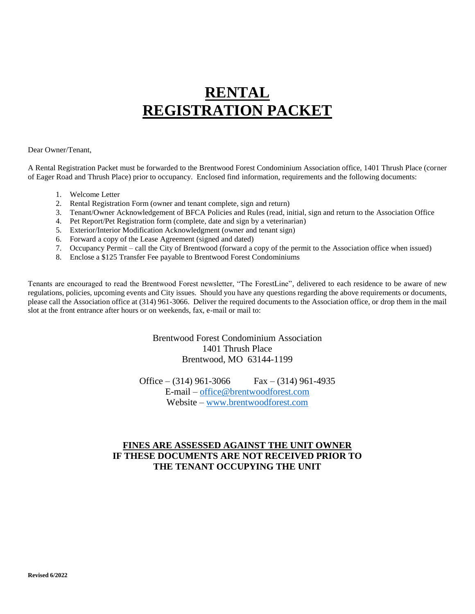# **RENTAL REGISTRATION PACKET**

#### Dear Owner/Tenant,

A Rental Registration Packet must be forwarded to the Brentwood Forest Condominium Association office, 1401 Thrush Place (corner of Eager Road and Thrush Place) prior to occupancy. Enclosed find information, requirements and the following documents:

- 1. Welcome Letter
- 2. Rental Registration Form (owner and tenant complete, sign and return)
- 3. Tenant/Owner Acknowledgement of BFCA Policies and Rules (read, initial, sign and return to the Association Office
- 4. Pet Report/Pet Registration form (complete, date and sign by a veterinarian)
- 5. Exterior/Interior Modification Acknowledgment (owner and tenant sign)
- 6. Forward a copy of the Lease Agreement (signed and dated)
- 7. Occupancy Permit call the City of Brentwood (forward a copy of the permit to the Association office when issued)
- 8. Enclose a \$125 Transfer Fee payable to Brentwood Forest Condominiums

Tenants are encouraged to read the Brentwood Forest newsletter, "The ForestLine", delivered to each residence to be aware of new regulations, policies, upcoming events and City issues. Should you have any questions regarding the above requirements or documents, please call the Association office at (314) 961-3066. Deliver the required documents to the Association office, or drop them in the mail slot at the front entrance after hours or on weekends, fax, e-mail or mail to:

> Brentwood Forest Condominium Association 1401 Thrush Place Brentwood, MO 63144-1199

Office – (314) 961-3066 Fax – (314) 961-4935 E-mail – office@brentwoodforest.com Website – www.brentwoodforest.com

#### **FINES ARE ASSESSED AGAINST THE UNIT OWNER IF THESE DOCUMENTS ARE NOT RECEIVED PRIOR TO THE TENANT OCCUPYING THE UNIT**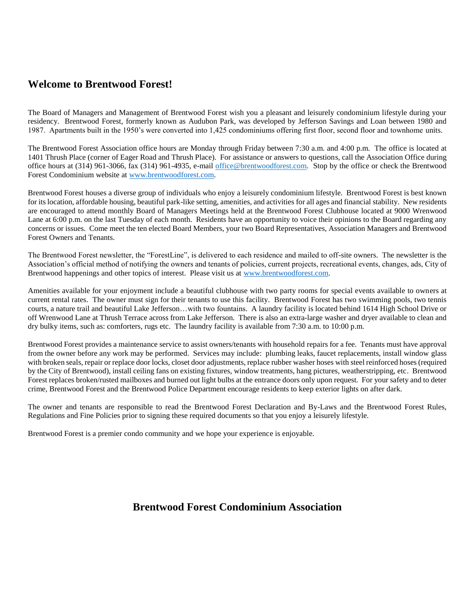### **Welcome to Brentwood Forest!**

The Board of Managers and Management of Brentwood Forest wish you a pleasant and leisurely condominium lifestyle during your residency. Brentwood Forest, formerly known as Audubon Park, was developed by Jefferson Savings and Loan between 1980 and 1987. Apartments built in the 1950's were converted into 1,425 condominiums offering first floor, second floor and townhome units.

The Brentwood Forest Association office hours are Monday through Friday between 7:30 a.m. and 4:00 p.m. The office is located at 1401 Thrush Place (corner of Eager Road and Thrush Place). For assistance or answers to questions, call the Association Office during office hours at (314) 961-3066, fax (314) 961-4935, e-mail office@brentwoodforest.com. Stop by the office or check the Brentwood Forest Condominium website at www.brentwoodforest.com.

Brentwood Forest houses a diverse group of individuals who enjoy a leisurely condominium lifestyle. Brentwood Forest is best known for its location, affordable housing, beautiful park-like setting, amenities, and activities for all ages and financial stability. New residents are encouraged to attend monthly Board of Managers Meetings held at the Brentwood Forest Clubhouse located at 9000 Wrenwood Lane at 6:00 p.m. on the last Tuesday of each month. Residents have an opportunity to voice their opinions to the Board regarding any concerns or issues. Come meet the ten elected Board Members, your two Board Representatives, Association Managers and Brentwood Forest Owners and Tenants.

The Brentwood Forest newsletter, the "ForestLine", is delivered to each residence and mailed to off-site owners. The newsletter is the Association's official method of notifying the owners and tenants of policies, current projects, recreational events, changes, ads, City of Brentwood happenings and other topics of interest. Please visit us at www.brentwoodforest.com.

Amenities available for your enjoyment include a beautiful clubhouse with two party rooms for special events available to owners at current rental rates. The owner must sign for their tenants to use this facility. Brentwood Forest has two swimming pools, two tennis courts, a nature trail and beautiful Lake Jefferson…with two fountains. A laundry facility is located behind 1614 High School Drive or off Wrenwood Lane at Thrush Terrace across from Lake Jefferson. There is also an extra-large washer and dryer available to clean and dry bulky items, such as: comforters, rugs etc. The laundry facility is available from 7:30 a.m. to 10:00 p.m.

Brentwood Forest provides a maintenance service to assist owners/tenants with household repairs for a fee. Tenants must have approval from the owner before any work may be performed. Services may include: plumbing leaks, faucet replacements, install window glass with broken seals, repair or replace door locks, closet door adjustments, replace rubber washer hoses with steel reinforced hoses (required by the City of Brentwood), install ceiling fans on existing fixtures, window treatments, hang pictures, weatherstripping, etc. Brentwood Forest replaces broken/rusted mailboxes and burned out light bulbs at the entrance doors only upon request. For your safety and to deter crime, Brentwood Forest and the Brentwood Police Department encourage residents to keep exterior lights on after dark.

The owner and tenants are responsible to read the Brentwood Forest Declaration and By-Laws and the Brentwood Forest Rules, Regulations and Fine Policies prior to signing these required documents so that you enjoy a leisurely lifestyle.

Brentwood Forest is a premier condo community and we hope your experience is enjoyable.

### **Brentwood Forest Condominium Association**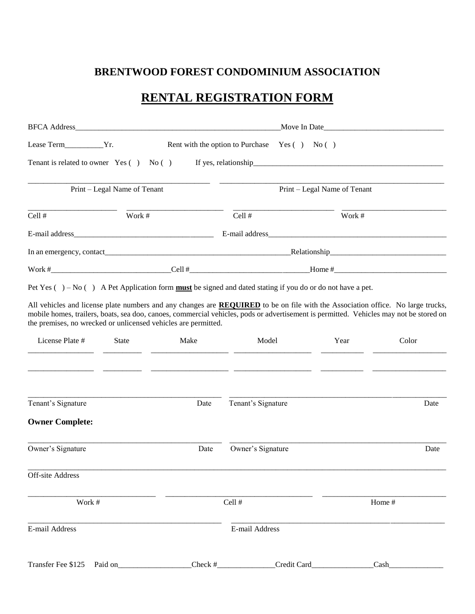# **BRENTWOOD FOREST CONDOMINIUM ASSOCIATION**

# **RENTAL REGISTRATION FORM**

|                                                                |                                               |        | Move In Date                                                                                                                                                                                                                                                              |                              |       |  |
|----------------------------------------------------------------|-----------------------------------------------|--------|---------------------------------------------------------------------------------------------------------------------------------------------------------------------------------------------------------------------------------------------------------------------------|------------------------------|-------|--|
| Lease Term__________Yr.                                        | Rent with the option to Purchase Yes () No () |        |                                                                                                                                                                                                                                                                           |                              |       |  |
| Tenant is related to owner $Yes( ) No( )$                      |                                               |        |                                                                                                                                                                                                                                                                           |                              |       |  |
|                                                                | Print – Legal Name of Tenant                  |        |                                                                                                                                                                                                                                                                           | Print – Legal Name of Tenant |       |  |
| Cell #                                                         | Work #                                        |        | Cell #                                                                                                                                                                                                                                                                    | Work #                       |       |  |
|                                                                |                                               |        |                                                                                                                                                                                                                                                                           |                              |       |  |
|                                                                |                                               |        |                                                                                                                                                                                                                                                                           |                              |       |  |
|                                                                |                                               |        |                                                                                                                                                                                                                                                                           |                              |       |  |
|                                                                |                                               |        | Pet Yes ( $) - No$ () A Pet Application form <b>must</b> be signed and dated stating if you do or do not have a pet.                                                                                                                                                      |                              |       |  |
| the premises, no wrecked or unlicensed vehicles are permitted. |                                               |        | All vehicles and license plate numbers and any changes are REQUIRED to be on file with the Association office. No large trucks,<br>mobile homes, trailers, boats, sea doo, canoes, commercial vehicles, pods or advertisement is permitted. Vehicles may not be stored on |                              |       |  |
| License Plate #                                                | <b>State</b>                                  | Make   | Model<br><u> 1989 - Andrea Barbara, poeta espainiar al propinsi establecidad en la propinsi establecidad en la propinsi e</u>                                                                                                                                             | Year                         | Color |  |
| Tenant's Signature                                             |                                               | Date   | Tenant's Signature                                                                                                                                                                                                                                                        |                              | Date  |  |
| <b>Owner Complete:</b>                                         |                                               |        |                                                                                                                                                                                                                                                                           |                              |       |  |
| Owner's Signature                                              | Date                                          |        | Owner's Signature                                                                                                                                                                                                                                                         |                              | Date  |  |
| Off-site Address                                               |                                               |        |                                                                                                                                                                                                                                                                           |                              |       |  |
| Work #                                                         |                                               | Cell # |                                                                                                                                                                                                                                                                           | Home #                       |       |  |
| E-mail Address                                                 |                                               |        | E-mail Address                                                                                                                                                                                                                                                            |                              |       |  |
|                                                                |                                               |        |                                                                                                                                                                                                                                                                           |                              |       |  |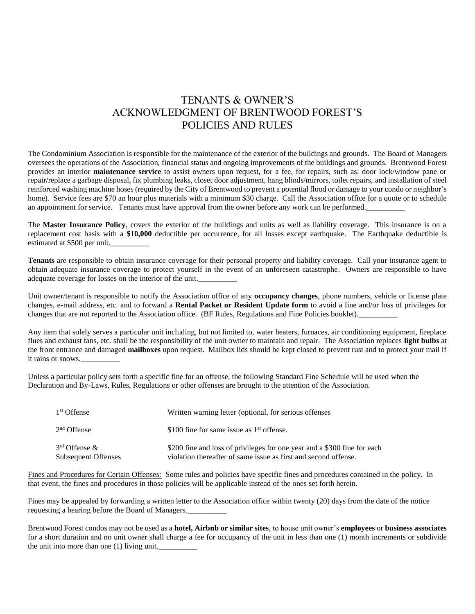## TENANTS & OWNER'S ACKNOWLEDGMENT OF BRENTWOOD FOREST'S POLICIES AND RULES

The Condominium Association is responsible for the maintenance of the exterior of the buildings and grounds. The Board of Managers oversees the operations of the Association, financial status and ongoing improvements of the buildings and grounds. Brentwood Forest provides an interior **maintenance service** to assist owners upon request, for a fee, for repairs, such as: door lock/window pane or repair/replace a garbage disposal, fix plumbing leaks, closet door adjustment, hang blinds/mirrors, toilet repairs, and installation of steel reinforced washing machine hoses (required by the City of Brentwood to prevent a potential flood or damage to your condo or neighbor's home). Service fees are \$70 an hour plus materials with a minimum \$30 charge. Call the Association office for a quote or to schedule an appointment for service. Tenants must have approval from the owner before any work can be performed.

The **Master Insurance Policy**, covers the exterior of the buildings and units as well as liability coverage. This insurance is on a replacement cost basis with a **\$10,000** deductible per occurrence, for all losses except earthquake. The Earthquake deductible is estimated at \$500 per unit.

**Tenants** are responsible to obtain insurance coverage for their personal property and liability coverage. Call your insurance agent to obtain adequate insurance coverage to protect yourself in the event of an unforeseen catastrophe. Owners are responsible to have adequate coverage for losses on the interior of the unit.\_\_\_\_\_\_\_\_\_\_

Unit owner/tenant is responsible to notify the Association office of any **occupancy changes**, phone numbers, vehicle or license plate changes, e-mail address, etc. and to forward a **Rental Packet or Resident Update form** to avoid a fine and/or loss of privileges for changes that are not reported to the Association office. (BF Rules, Regulations and Fine Policies booklet).

Any item that solely serves a particular unit including, but not limited to, water heaters, furnaces, air conditioning equipment, fireplace flues and exhaust fans, etc. shall be the responsibility of the unit owner to maintain and repair. The Association replaces **light bulbs** at the front entrance and damaged **mailboxes** upon request. Mailbox lids should be kept closed to prevent rust and to protect your mail if it rains or snows.

Unless a particular policy sets forth a specific fine for an offense, the following Standard Fine Schedule will be used when the Declaration and By-Laws, Rules, Regulations or other offenses are brought to the attention of the Association.

| 1 <sup>st</sup> Offense                         | Written warning letter (optional, for serious offenses)                                                                                     |
|-------------------------------------------------|---------------------------------------------------------------------------------------------------------------------------------------------|
| $2nd$ Offense                                   | \$100 fine for same issue as $1st$ offense.                                                                                                 |
| $3rd$ Offense $&$<br><b>Subsequent Offenses</b> | \$200 fine and loss of privileges for one year and a \$300 fine for each<br>violation thereafter of same issue as first and second offense. |

Fines and Procedures for Certain Offenses: Some rules and policies have specific fines and procedures contained in the policy. In that event, the fines and procedures in those policies will be applicable instead of the ones set forth herein.

Fines may be appealed by forwarding a written letter to the Association office within twenty (20) days from the date of the notice requesting a hearing before the Board of Managers.\_\_\_\_\_\_\_\_\_\_

Brentwood Forest condos may not be used as a **hotel, Airbnb or similar sites**, to house unit owner's **employees** or **business associates** for a short duration and no unit owner shall charge a fee for occupancy of the unit in less than one (1) month increments or subdivide the unit into more than one  $(1)$  living unit.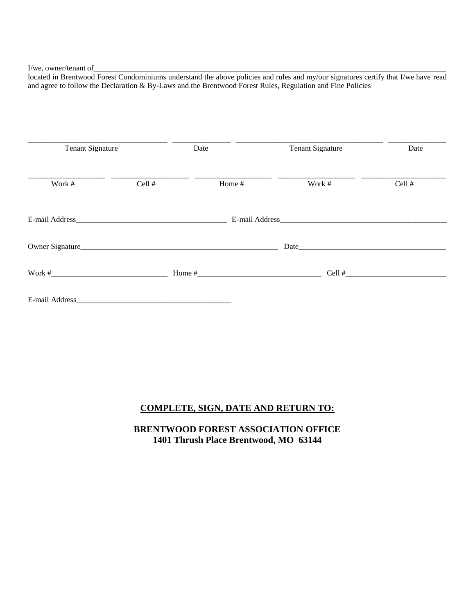I/we, owner/tenant of\_\_\_\_\_\_\_\_\_\_\_\_\_\_\_\_\_\_\_\_\_\_\_\_\_\_\_\_\_\_\_\_\_\_\_\_\_\_\_\_\_\_\_\_\_\_\_\_\_\_\_\_\_\_\_\_\_\_\_\_\_\_\_\_\_\_\_\_\_\_\_\_\_\_\_\_\_\_\_\_\_\_\_\_\_\_\_\_\_\_\_

located in Brentwood Forest Condominiums understand the above policies and rules and my/our signatures certify that I/we have read and agree to follow the Declaration & By-Laws and the Brentwood Forest Rules, Regulation and Fine Policies

| <b>Tenant Signature</b>                                                                                                                                                                                                        |        | Date   | <b>Tenant Signature</b> | Date     |
|--------------------------------------------------------------------------------------------------------------------------------------------------------------------------------------------------------------------------------|--------|--------|-------------------------|----------|
| Work #                                                                                                                                                                                                                         | Cell # | Home # | Work #                  | Cell #   |
| E-mail Address entrance and the series of the series of the series of the series of the series of the series of the series of the series of the series of the series of the series of the series of the series of the series o |        |        | E-mail Address          |          |
|                                                                                                                                                                                                                                |        |        |                         |          |
| Work $\#$                                                                                                                                                                                                                      |        |        |                         | $Cell$ # |
| E-mail Address and the state of the state of the state of the state of the state of the state of the state of the state of the state of the state of the state of the state of the state of the state of the state of the stat |        |        |                         |          |

### **COMPLETE, SIGN, DATE AND RETURN TO:**

**BRENTWOOD FOREST ASSOCIATION OFFICE 1401 Thrush Place Brentwood, MO 63144**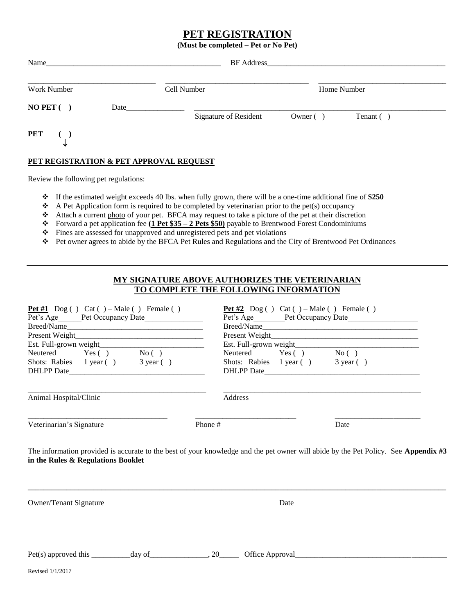#### **PET REGISTRATION**

**(Must be completed – Pet or No Pet)**

| Name                                    |      |             | BF Address and the state of the state of the state of the state of the state of the state of the state of the state of the state of the state of the state of the state of the state of the state of the state of the state of |             |             |  |
|-----------------------------------------|------|-------------|--------------------------------------------------------------------------------------------------------------------------------------------------------------------------------------------------------------------------------|-------------|-------------|--|
| Work Number                             |      | Cell Number |                                                                                                                                                                                                                                |             | Home Number |  |
| $NO$ PET $( )$                          | Date |             | Signature of Resident                                                                                                                                                                                                          | Owner $( )$ | Tenant ()   |  |
| $PET$ ()<br>╰                           |      |             |                                                                                                                                                                                                                                |             |             |  |
| PET REGISTRATION & PET APPROVAL REQUEST |      |             |                                                                                                                                                                                                                                |             |             |  |

Review the following pet regulations:

- If the estimated weight exceeds 40 lbs. when fully grown, there will be a one-time additional fine of **\$250**
- $\triangle$  A Pet Application form is required to be completed by veterinarian prior to the pet(s) occupancy
- Attach a current photo of your pet. BFCA may request to take a picture of the pet at their discretion
- Forward a pet application fee **(1 Pet \$35 – 2 Pets \$50)** payable to Brentwood Forest Condominiums
- Fines are assessed for unapproved and unregistered pets and pet violations
- Pet owner agrees to abide by the BFCA Pet Rules and Regulations and the City of Brentwood Pet Ordinances

#### **MY SIGNATURE ABOVE AUTHORIZES THE VETERINARIAN TO COMPLETE THE FOLLOWING INFORMATION**

| Pet #1 $\log$ ( ) Cat ( ) – Male ( ) Female ( )<br>Pet's Age Pet Occupancy Date<br>Neutered Yes () No ()<br>Shots: Rabies 1 year () 3 year ()                            | Pet #2 $\log$ ( ) Cat ( ) – Male ( ) Female ( )<br>Neutered Yes () No ()<br>Shots: Rabies 1 year () 3 year () |      |  |
|--------------------------------------------------------------------------------------------------------------------------------------------------------------------------|---------------------------------------------------------------------------------------------------------------|------|--|
| Animal Hospital/Clinic                                                                                                                                                   | Address                                                                                                       |      |  |
| Veterinarian's Signature                                                                                                                                                 | Phone #                                                                                                       | Date |  |
| The information provided is accurate to the best of your knowledge and the pet owner will abide by the Pet Policy. See Appendix #3<br>in the Rules & Regulations Booklet |                                                                                                               |      |  |
| <b>Owner/Tenant Signature</b>                                                                                                                                            | Date                                                                                                          |      |  |
|                                                                                                                                                                          |                                                                                                               |      |  |
| Revised 1/1/2017                                                                                                                                                         |                                                                                                               |      |  |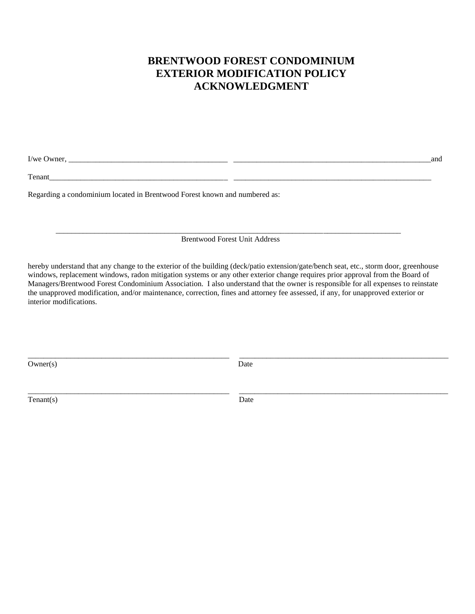# **BRENTWOOD FOREST CONDOMINIUM EXTERIOR MODIFICATION POLICY ACKNOWLEDGMENT**

I/we Owner, \_\_\_\_\_\_\_\_\_\_\_\_\_\_\_\_\_\_\_\_\_\_\_\_\_\_\_\_\_\_\_\_\_\_\_\_\_\_\_\_\_ \_\_\_\_\_\_\_\_\_\_\_\_\_\_\_\_\_\_\_\_\_\_\_\_\_\_\_\_\_\_\_\_\_\_\_\_\_\_\_\_\_\_\_\_\_\_\_\_\_\_\_and

Tenant\_\_\_\_\_\_\_\_\_\_\_\_\_\_\_\_\_\_\_\_\_\_\_\_\_\_\_\_\_\_\_\_\_\_\_\_\_\_\_\_\_\_\_\_\_\_ \_\_\_\_\_\_\_\_\_\_\_\_\_\_\_\_\_\_\_\_\_\_\_\_\_\_\_\_\_\_\_\_\_\_\_\_\_\_\_\_\_\_\_\_\_\_\_\_\_\_\_

Regarding a condominium located in Brentwood Forest known and numbered as:

\_\_\_\_\_\_\_\_\_\_\_\_\_\_\_\_\_\_\_\_\_\_\_\_\_\_\_\_\_\_\_\_\_\_\_\_\_\_\_\_\_\_\_\_\_\_\_\_\_\_\_\_\_\_\_\_\_\_\_\_\_\_\_\_\_\_\_\_\_\_\_\_\_\_\_\_\_\_\_\_\_\_\_\_\_\_\_\_\_ Brentwood Forest Unit Address

hereby understand that any change to the exterior of the building (deck/patio extension/gate/bench seat, etc., storm door, greenhouse windows, replacement windows, radon mitigation systems or any other exterior change requires prior approval from the Board of Managers/Brentwood Forest Condominium Association. I also understand that the owner is responsible for all expenses to reinstate the unapproved modification, and/or maintenance, correction, fines and attorney fee assessed, if any, for unapproved exterior or interior modifications.

Owner(s) Date

\_\_\_\_\_\_\_\_\_\_\_\_\_\_\_\_\_\_\_\_\_\_\_\_\_\_\_\_\_\_\_\_\_\_\_\_\_\_\_\_\_\_\_\_\_\_\_\_\_\_\_\_ \_\_\_\_\_\_\_\_\_\_\_\_\_\_\_\_\_\_\_\_\_\_\_\_\_\_\_\_\_\_\_\_\_\_\_\_\_\_\_\_\_\_\_\_\_\_\_\_\_\_\_\_\_\_

Tenant(s) Date

\_\_\_\_\_\_\_\_\_\_\_\_\_\_\_\_\_\_\_\_\_\_\_\_\_\_\_\_\_\_\_\_\_\_\_\_\_\_\_\_\_\_\_\_\_\_\_\_\_\_\_\_ \_\_\_\_\_\_\_\_\_\_\_\_\_\_\_\_\_\_\_\_\_\_\_\_\_\_\_\_\_\_\_\_\_\_\_\_\_\_\_\_\_\_\_\_\_\_\_\_\_\_\_\_\_\_